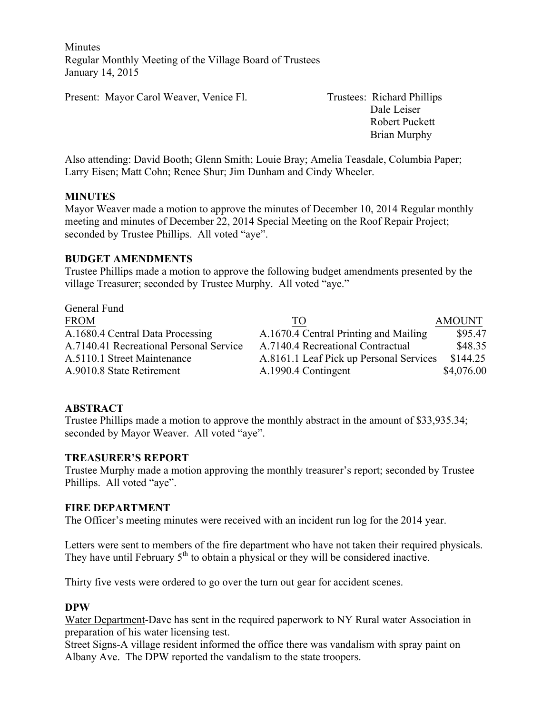**Minutes** Regular Monthly Meeting of the Village Board of Trustees January 14, 2015

Present: Mayor Carol Weaver, Venice Fl. Trustees: Richard Phillips

 Dale Leiser Robert Puckett Brian Murphy

Also attending: David Booth; Glenn Smith; Louie Bray; Amelia Teasdale, Columbia Paper; Larry Eisen; Matt Cohn; Renee Shur; Jim Dunham and Cindy Wheeler.

#### **MINUTES**

Mayor Weaver made a motion to approve the minutes of December 10, 2014 Regular monthly meeting and minutes of December 22, 2014 Special Meeting on the Roof Repair Project; seconded by Trustee Phillips. All voted "aye".

### **BUDGET AMENDMENTS**

Trustee Phillips made a motion to approve the following budget amendments presented by the village Treasurer; seconded by Trustee Murphy. All voted "aye."

| TO                                    | <b>AMOUNT</b>                           |
|---------------------------------------|-----------------------------------------|
| A.1670.4 Central Printing and Mailing | \$95.47                                 |
| A.7140.4 Recreational Contractual     | \$48.35                                 |
|                                       | \$144.25                                |
| A.1990.4 Contingent                   | \$4,076.00                              |
|                                       | A.8161.1 Leaf Pick up Personal Services |

#### **ABSTRACT**

Trustee Phillips made a motion to approve the monthly abstract in the amount of \$33,935.34; seconded by Mayor Weaver. All voted "aye".

#### **TREASURER'S REPORT**

Trustee Murphy made a motion approving the monthly treasurer's report; seconded by Trustee Phillips. All voted "aye".

#### **FIRE DEPARTMENT**

The Officer's meeting minutes were received with an incident run log for the 2014 year.

Letters were sent to members of the fire department who have not taken their required physicals. They have until February  $5<sup>th</sup>$  to obtain a physical or they will be considered inactive.

Thirty five vests were ordered to go over the turn out gear for accident scenes.

#### **DPW**

Water Department-Dave has sent in the required paperwork to NY Rural water Association in preparation of his water licensing test.

Street Signs-A village resident informed the office there was vandalism with spray paint on Albany Ave. The DPW reported the vandalism to the state troopers.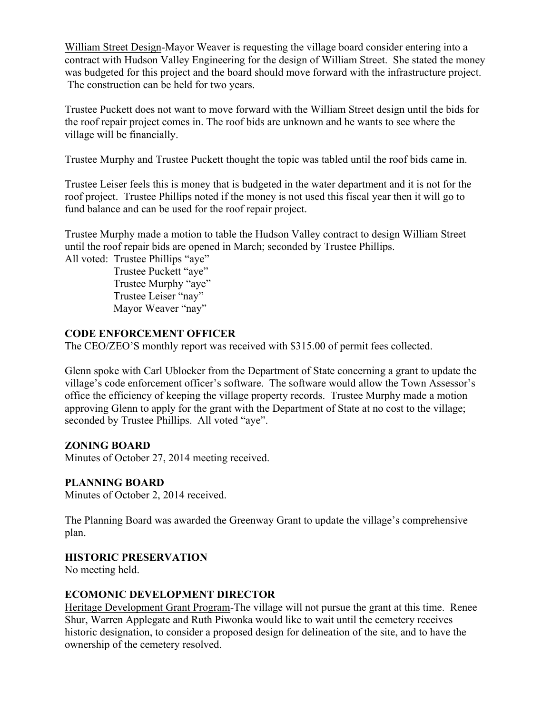William Street Design-Mayor Weaver is requesting the village board consider entering into a contract with Hudson Valley Engineering for the design of William Street. She stated the money was budgeted for this project and the board should move forward with the infrastructure project. The construction can be held for two years.

Trustee Puckett does not want to move forward with the William Street design until the bids for the roof repair project comes in. The roof bids are unknown and he wants to see where the village will be financially.

Trustee Murphy and Trustee Puckett thought the topic was tabled until the roof bids came in.

Trustee Leiser feels this is money that is budgeted in the water department and it is not for the roof project. Trustee Phillips noted if the money is not used this fiscal year then it will go to fund balance and can be used for the roof repair project.

Trustee Murphy made a motion to table the Hudson Valley contract to design William Street until the roof repair bids are opened in March; seconded by Trustee Phillips.

All voted: Trustee Phillips "aye"

 Trustee Puckett "aye" Trustee Murphy "aye" Trustee Leiser "nay" Mayor Weaver "nay"

### **CODE ENFORCEMENT OFFICER**

The CEO/ZEO'S monthly report was received with \$315.00 of permit fees collected.

Glenn spoke with Carl Ublocker from the Department of State concerning a grant to update the village's code enforcement officer's software. The software would allow the Town Assessor's office the efficiency of keeping the village property records. Trustee Murphy made a motion approving Glenn to apply for the grant with the Department of State at no cost to the village; seconded by Trustee Phillips. All voted "aye".

#### **ZONING BOARD**

Minutes of October 27, 2014 meeting received.

### **PLANNING BOARD**

Minutes of October 2, 2014 received.

The Planning Board was awarded the Greenway Grant to update the village's comprehensive plan.

#### **HISTORIC PRESERVATION**

No meeting held.

#### **ECOMONIC DEVELOPMENT DIRECTOR**

Heritage Development Grant Program-The village will not pursue the grant at this time. Renee Shur, Warren Applegate and Ruth Piwonka would like to wait until the cemetery receives historic designation, to consider a proposed design for delineation of the site, and to have the ownership of the cemetery resolved.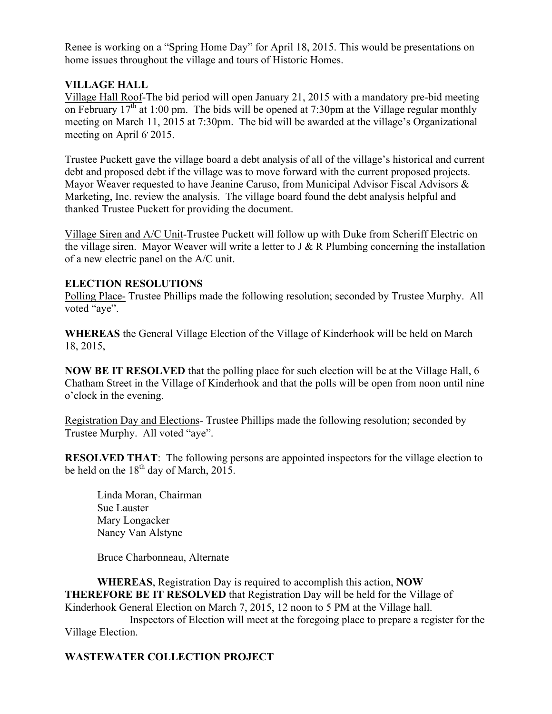Renee is working on a "Spring Home Day" for April 18, 2015. This would be presentations on home issues throughout the village and tours of Historic Homes.

## **VILLAGE HALL**

Village Hall Roof-The bid period will open January 21, 2015 with a mandatory pre-bid meeting on February 17<sup>th</sup> at 1:00 pm. The bids will be opened at 7:30pm at the Village regular monthly meeting on March 11, 2015 at 7:30pm. The bid will be awarded at the village's Organizational meeting on April  $6$  2015.

Trustee Puckett gave the village board a debt analysis of all of the village's historical and current debt and proposed debt if the village was to move forward with the current proposed projects. Mayor Weaver requested to have Jeanine Caruso, from Municipal Advisor Fiscal Advisors & Marketing, Inc. review the analysis. The village board found the debt analysis helpful and thanked Trustee Puckett for providing the document.

Village Siren and A/C Unit-Trustee Puckett will follow up with Duke from Scheriff Electric on the village siren. Mayor Weaver will write a letter to  $J \& R$  Plumbing concerning the installation of a new electric panel on the A/C unit.

### **ELECTION RESOLUTIONS**

Polling Place- Trustee Phillips made the following resolution; seconded by Trustee Murphy. All voted "aye".

**WHEREAS** the General Village Election of the Village of Kinderhook will be held on March 18, 2015,

**NOW BE IT RESOLVED** that the polling place for such election will be at the Village Hall, 6 Chatham Street in the Village of Kinderhook and that the polls will be open from noon until nine o'clock in the evening.

Registration Day and Elections- Trustee Phillips made the following resolution; seconded by Trustee Murphy. All voted "aye".

**RESOLVED THAT:** The following persons are appointed inspectors for the village election to be held on the  $18<sup>th</sup>$  day of March, 2015.

Linda Moran, Chairman Sue Lauster Mary Longacker Nancy Van Alstyne

Bruce Charbonneau, Alternate

**WHEREAS**, Registration Day is required to accomplish this action, **NOW THEREFORE BE IT RESOLVED** that Registration Day will be held for the Village of Kinderhook General Election on March 7, 2015, 12 noon to 5 PM at the Village hall. Inspectors of Election will meet at the foregoing place to prepare a register for the Village Election.

# **WASTEWATER COLLECTION PROJECT**